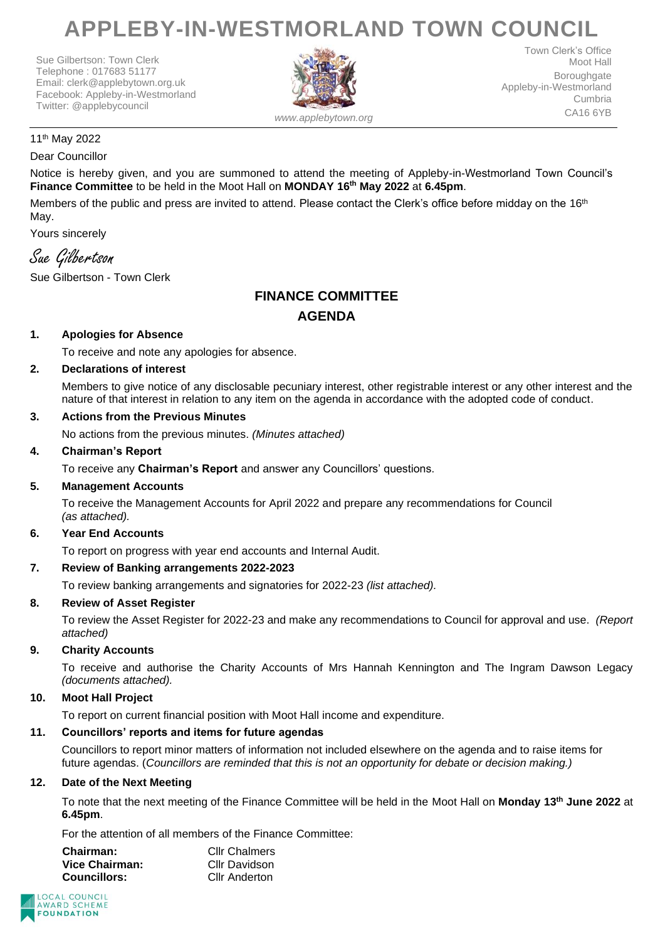# **APPLEBY-IN-WESTMORLAND TOWN COUNCIL**

Sue Gilbertson: Town Clerk Telephone : 017683 51177 Email: clerk@applebytown.org.uk Facebook: Appleby-in-Westmorland Twitter: @applebycouncil



Town Clerk's Office Moot Hall **Boroughgate** Appleby-in-Westmorland Cumbria CA16 6YB

#### 11th May 2022

#### Dear Councillor

Notice is hereby given, and you are summoned to attend the meeting of Appleby-in-Westmorland Town Council's **Finance Committee** to be held in the Moot Hall on **MONDAY 16th May 2022** at **6.45pm**.

Members of the public and press are invited to attend. Please contact the Clerk's office before midday on the 16<sup>th</sup> May.

Yours sincerely

# Sue Gilbertson

Sue Gilbertson - Town Clerk

# **FINANCE COMMITTEE AGENDA**

# **1. Apologies for Absence**

To receive and note any apologies for absence.

# **2. Declarations of interest**

Members to give notice of any disclosable pecuniary interest, other registrable interest or any other interest and the nature of that interest in relation to any item on the agenda in accordance with the adopted code of conduct.

#### **3. Actions from the Previous Minutes**

No actions from the previous minutes. *(Minutes attached)*

#### **4. Chairman's Report**

To receive any **Chairman's Report** and answer any Councillors' questions.

# **5. Management Accounts**

To receive the Management Accounts for April 2022 and prepare any recommendations for Council *(as attached).*

#### **6. Year End Accounts**

To report on progress with year end accounts and Internal Audit.

# **7. Review of Banking arrangements 2022-2023**

To review banking arrangements and signatories for 2022-23 *(list attached).*

#### **8. Review of Asset Register**

To review the Asset Register for 2022-23 and make any recommendations to Council for approval and use. *(Report attached)*

# **9. Charity Accounts**

To receive and authorise the Charity Accounts of Mrs Hannah Kennington and The Ingram Dawson Legacy *(documents attached).*

#### **10. Moot Hall Project**

To report on current financial position with Moot Hall income and expenditure.

# **11. Councillors' reports and items for future agendas**

Councillors to report minor matters of information not included elsewhere on the agenda and to raise items for future agendas. (*Councillors are reminded that this is not an opportunity for debate or decision making.)*

#### **12. Date of the Next Meeting**

To note that the next meeting of the Finance Committee will be held in the Moot Hall on **Monday 13th June 2022** at **6.45pm**.

For the attention of all members of the Finance Committee:

| Chairman:           | <b>Cllr Chalmers</b> |
|---------------------|----------------------|
| Vice Chairman:      | Cllr Davidson        |
| <b>Councillors:</b> | <b>Cllr Anderton</b> |